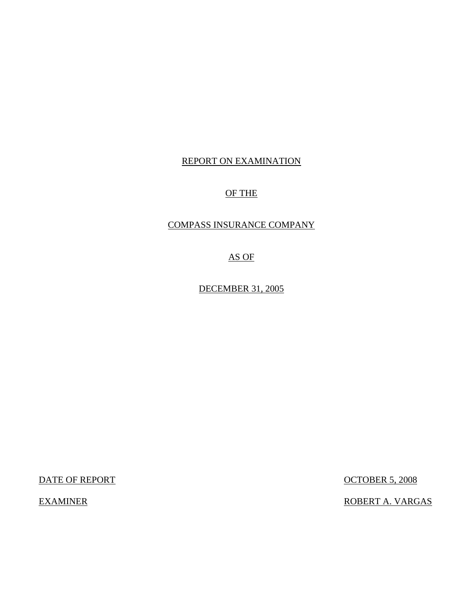# REPORT ON EXAMINATION

# OF THE

# COMPASS INSURANCE COMPANY

AS OF

DECEMBER 31, 2005

DATE OF REPORT OCTOBER 5, 2008

EXAMINER ROBERT A. VARGAS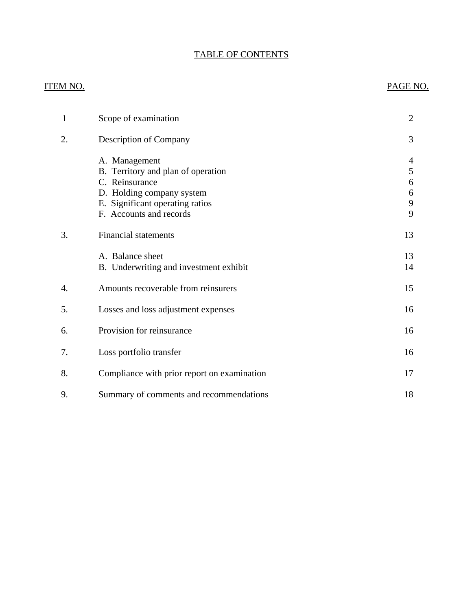# TABLE OF CONTENTS

# ITEM NO. PAGE NO.

| 1  | Scope of examination                                                                                                                                             | $\overline{2}$             |
|----|------------------------------------------------------------------------------------------------------------------------------------------------------------------|----------------------------|
| 2. | <b>Description of Company</b>                                                                                                                                    | 3                          |
|    | A. Management<br>B. Territory and plan of operation<br>C. Reinsurance<br>D. Holding company system<br>E. Significant operating ratios<br>F. Accounts and records | 4<br>5<br>6<br>6<br>9<br>9 |
| 3. | Financial statements                                                                                                                                             | 13                         |
|    | A. Balance sheet<br>B. Underwriting and investment exhibit                                                                                                       | 13<br>14                   |
| 4. | Amounts recoverable from reinsurers                                                                                                                              | 15                         |
| 5. | Losses and loss adjustment expenses                                                                                                                              | 16                         |
| 6. | Provision for reinsurance                                                                                                                                        | 16                         |
| 7. | Loss portfolio transfer                                                                                                                                          | 16                         |
| 8. | Compliance with prior report on examination                                                                                                                      | 17                         |
| 9. | Summary of comments and recommendations                                                                                                                          | 18                         |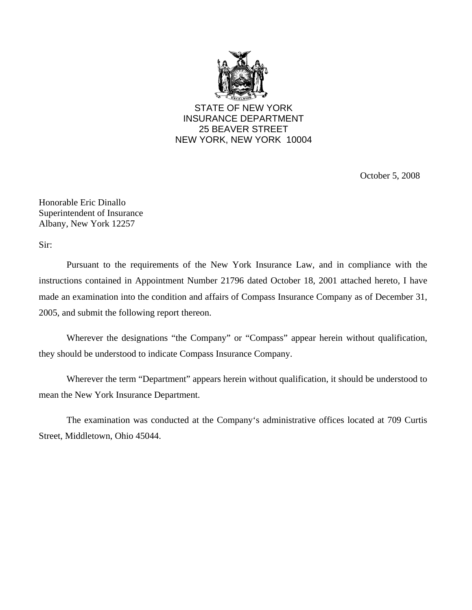

STATE OF NEW YORK INSURANCE DEPARTMENT 25 BEAVER STREET NEW YORK, NEW YORK 10004

October 5, 2008

Honorable Eric Dinallo Superintendent of Insurance Albany, New York 12257

Sir:

Pursuant to the requirements of the New York Insurance Law, and in compliance with the instructions contained in Appointment Number 21796 dated October 18, 2001 attached hereto, I have made an examination into the condition and affairs of Compass Insurance Company as of December 31, 2005, and submit the following report thereon.

Wherever the designations "the Company" or "Compass" appear herein without qualification, they should be understood to indicate Compass Insurance Company.

Wherever the term "Department" appears herein without qualification, it should be understood to mean the New York Insurance Department.

The examination was conducted at the Company's administrative offices located at 709 Curtis Street, Middletown, Ohio 45044.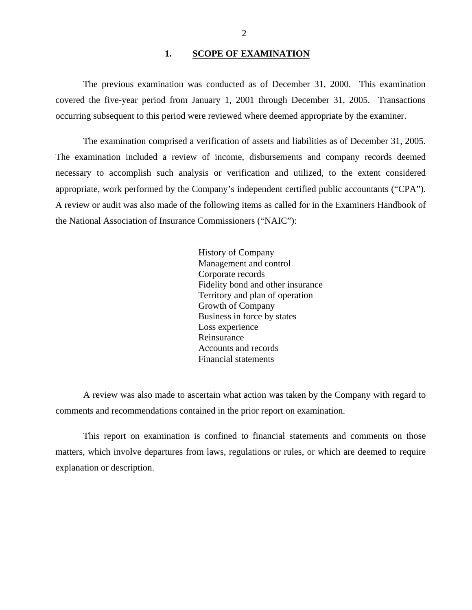### 1. **SCOPE OF EXAMINATION**

<span id="page-3-0"></span>The previous examination was conducted as of December 31, 2000. This examination covered the five-year period from January 1, 2001 through December 31, 2005. Transactions occurring subsequent to this period were reviewed where deemed appropriate by the examiner.

The examination comprised a verification of assets and liabilities as of December 31, 2005. The examination included a review of income, disbursements and company records deemed necessary to accomplish such analysis or verification and utilized, to the extent considered appropriate, work performed by the Company's independent certified public accountants ("CPA"). A review or audit was also made of the following items as called for in the Examiners Handbook of the National Association of Insurance Commissioners ("NAIC"):

> History of Company Management and control Corporate records Fidelity bond and other insurance Territory and plan of operation Growth of Company Business in force by states Loss experience Reinsurance Accounts and records Financial statements

A review was also made to ascertain what action was taken by the Company with regard to comments and recommendations contained in the prior report on examination.

This report on examination is confined to financial statements and comments on those matters, which involve departures from laws, regulations or rules, or which are deemed to require explanation or description.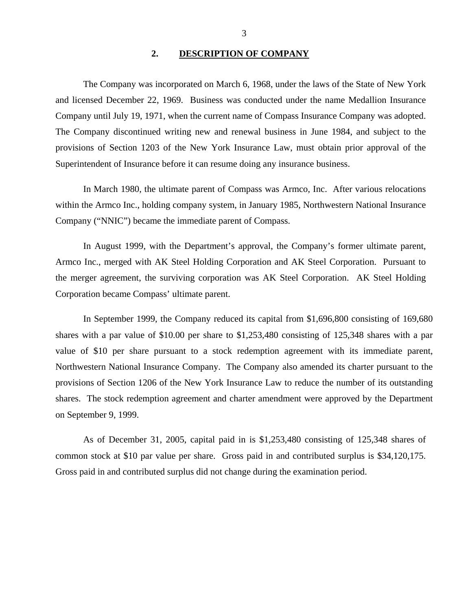### **2. DESCRIPTION OF COMPANY**

<span id="page-4-0"></span>The Company was incorporated on March 6, 1968, under the laws of the State of New York and licensed December 22, 1969. Business was conducted under the name Medallion Insurance Company until July 19, 1971, when the current name of Compass Insurance Company was adopted. The Company discontinued writing new and renewal business in June 1984, and subject to the provisions of Section 1203 of the New York Insurance Law, must obtain prior approval of the Superintendent of Insurance before it can resume doing any insurance business.

In March 1980, the ultimate parent of Compass was Armco, Inc. After various relocations within the Armco Inc., holding company system, in January 1985, Northwestern National Insurance Company ("NNIC") became the immediate parent of Compass.

In August 1999, with the Department's approval, the Company's former ultimate parent, Armco Inc., merged with AK Steel Holding Corporation and AK Steel Corporation. Pursuant to the merger agreement, the surviving corporation was AK Steel Corporation. AK Steel Holding Corporation became Compass' ultimate parent.

In September 1999, the Company reduced its capital from \$1,696,800 consisting of 169,680 shares with a par value of \$10.00 per share to \$1,253,480 consisting of 125,348 shares with a par value of \$10 per share pursuant to a stock redemption agreement with its immediate parent, Northwestern National Insurance Company. The Company also amended its charter pursuant to the provisions of Section 1206 of the New York Insurance Law to reduce the number of its outstanding shares. The stock redemption agreement and charter amendment were approved by the Department on September 9, 1999.

As of December 31, 2005, capital paid in is \$1,253,480 consisting of 125,348 shares of common stock at \$10 par value per share. Gross paid in and contributed surplus is \$34,120,175. Gross paid in and contributed surplus did not change during the examination period.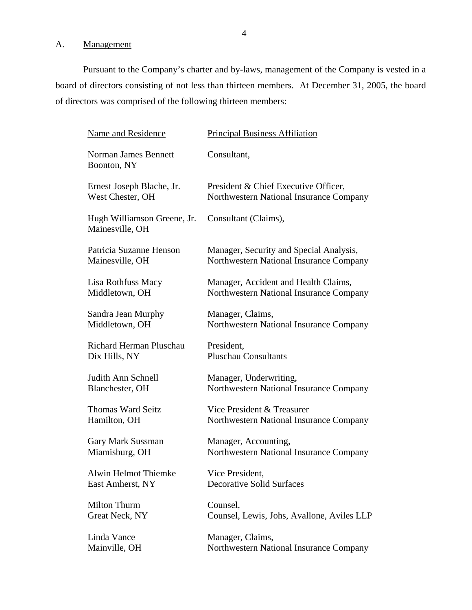# <span id="page-5-0"></span>A. Management

Pursuant to the Company's charter and by-laws, management of the Company is vested in a board of directors consisting of not less than thirteen members. At December 31, 2005, the board of directors was comprised of the following thirteen members:

| Name and Residence                             | <b>Principal Business Affiliation</b>      |
|------------------------------------------------|--------------------------------------------|
| Norman James Bennett<br>Boonton, NY            | Consultant,                                |
| Ernest Joseph Blache, Jr.                      | President & Chief Executive Officer,       |
| West Chester, OH                               | Northwestern National Insurance Company    |
| Hugh Williamson Greene, Jr.<br>Mainesville, OH | Consultant (Claims),                       |
| Patricia Suzanne Henson                        | Manager, Security and Special Analysis,    |
| Mainesville, OH                                | Northwestern National Insurance Company    |
| Lisa Rothfuss Macy                             | Manager, Accident and Health Claims,       |
| Middletown, OH                                 | Northwestern National Insurance Company    |
| Sandra Jean Murphy                             | Manager, Claims,                           |
| Middletown, OH                                 | Northwestern National Insurance Company    |
| Richard Herman Pluschau                        | President,                                 |
| Dix Hills, NY                                  | <b>Pluschau Consultants</b>                |
| Judith Ann Schnell                             | Manager, Underwriting,                     |
| Blanchester, OH                                | Northwestern National Insurance Company    |
| <b>Thomas Ward Seitz</b>                       | Vice President & Treasurer                 |
| Hamilton, OH                                   | Northwestern National Insurance Company    |
| Gary Mark Sussman                              | Manager, Accounting,                       |
| Miamisburg, OH                                 | Northwestern National Insurance Company    |
| <b>Alwin Helmot Thiemke</b>                    | Vice President,                            |
| East Amherst, NY                               | <b>Decorative Solid Surfaces</b>           |
| <b>Milton Thurm</b>                            | Counsel,                                   |
| Great Neck, NY                                 | Counsel, Lewis, Johs, Avallone, Aviles LLP |
| Linda Vance                                    | Manager, Claims,                           |
| Mainville, OH                                  | Northwestern National Insurance Company    |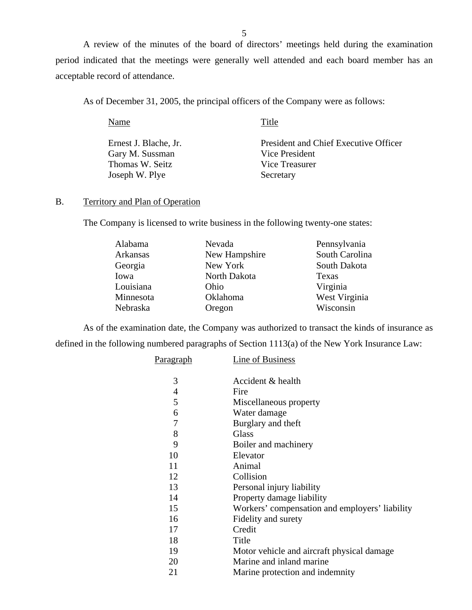<span id="page-6-0"></span>A review of the minutes of the board of directors' meetings held during the examination period indicated that the meetings were generally well attended and each board member has an acceptable record of attendance.

As of December 31, 2005, the principal officers of the Company were as follows:

Name Title Ernest J. Blache, Jr. President and Chief Executive Officer Gary M. Sussman Vice President Thomas W. Seitz Vice Treasurer Joseph W. Plye Secretary

# B. Territory and Plan of Operation

The Company is licensed to write business in the following twenty-one states:

| Alabama   | Nevada        | Pennsylvania   |
|-----------|---------------|----------------|
| Arkansas  | New Hampshire | South Carolina |
| Georgia   | New York      | South Dakota   |
| Iowa      | North Dakota  | Texas          |
| Louisiana | Ohio          | Virginia       |
| Minnesota | Oklahoma      | West Virginia  |
| Nebraska  | Oregon        | Wisconsin      |

As of the examination date, the Company was authorized to transact the kinds of insurance as defined in the following numbered paragraphs of Section 1113(a) of the New York Insurance Law:

| <u>Paragraph</u> | Line of Business                               |
|------------------|------------------------------------------------|
| 3                | Accident & health                              |
| 4                | Fire                                           |
| 5                | Miscellaneous property                         |
| 6                | Water damage                                   |
| 7                | Burglary and theft                             |
| 8                | Glass                                          |
| 9                | Boiler and machinery                           |
| 10               | Elevator                                       |
| 11               | Animal                                         |
| 12               | Collision                                      |
| 13               | Personal injury liability                      |
| 14               | Property damage liability                      |
| 15               | Workers' compensation and employers' liability |
| 16               | Fidelity and surety                            |
| 17               | Credit                                         |
| 18               | Title                                          |
| 19               | Motor vehicle and aircraft physical damage.    |
| 20               | Marine and inland marine                       |
| 21               | Marine protection and indemnity                |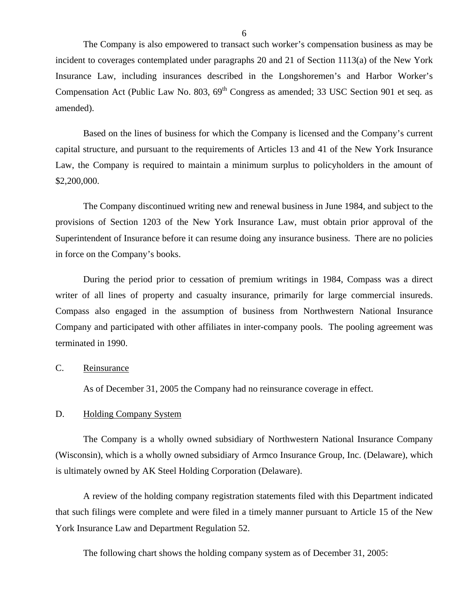<span id="page-7-0"></span>The Company is also empowered to transact such worker's compensation business as may be incident to coverages contemplated under paragraphs 20 and 21 of Section 1113(a) of the New York Insurance Law, including insurances described in the Longshoremen's and Harbor Worker's Compensation Act (Public Law No. 803,  $69<sup>th</sup>$  Congress as amended; 33 USC Section 901 et seq. as amended).

Based on the lines of business for which the Company is licensed and the Company's current capital structure, and pursuant to the requirements of Articles 13 and 41 of the New York Insurance Law, the Company is required to maintain a minimum surplus to policyholders in the amount of \$2,200,000.

The Company discontinued writing new and renewal business in June 1984, and subject to the provisions of Section 1203 of the New York Insurance Law, must obtain prior approval of the Superintendent of Insurance before it can resume doing any insurance business. There are no policies in force on the Company's books.

During the period prior to cessation of premium writings in 1984, Compass was a direct writer of all lines of property and casualty insurance, primarily for large commercial insureds. Compass also engaged in the assumption of business from Northwestern National Insurance Company and participated with other affiliates in inter-company pools. The pooling agreement was terminated in 1990.

### C. Reinsurance

As of December 31, 2005 the Company had no reinsurance coverage in effect.

### D. Holding Company System

The Company is a wholly owned subsidiary of Northwestern National Insurance Company (Wisconsin), which is a wholly owned subsidiary of Armco Insurance Group, Inc. (Delaware), which is ultimately owned by AK Steel Holding Corporation (Delaware).

A review of the holding company registration statements filed with this Department indicated that such filings were complete and were filed in a timely manner pursuant to Article 15 of the New York Insurance Law and Department Regulation 52.

The following chart shows the holding company system as of December 31, 2005: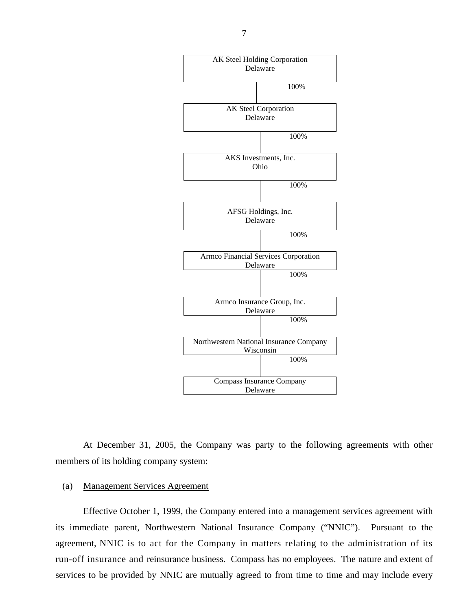

At December 31, 2005, the Company was party to the following agreements with other members of its holding company system:

### (a) Management Services Agreement

Effective October 1, 1999, the Company entered into a management services agreement with its immediate parent, Northwestern National Insurance Company ("NNIC"). Pursuant to the agreement, NNIC is to act for the Company in matters relating to the administration of its run-off insurance and reinsurance business. Compass has no employees. The nature and extent of services to be provided by NNIC are mutually agreed to from time to time and may include every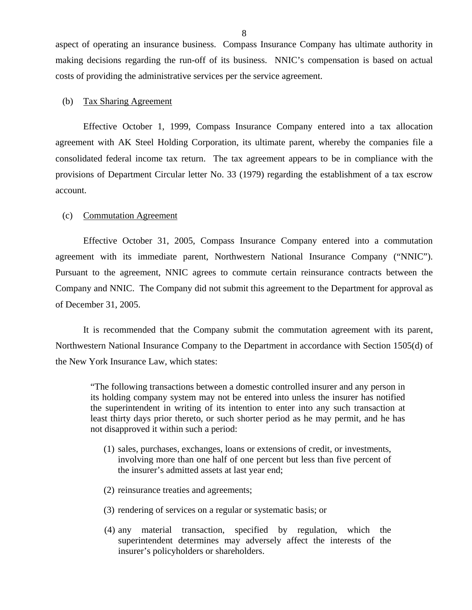aspect of operating an insurance business. Compass Insurance Company has ultimate authority in making decisions regarding the run-off of its business. NNIC's compensation is based on actual costs of providing the administrative services per the service agreement.

### (b) Tax Sharing Agreement

Effective October 1, 1999, Compass Insurance Company entered into a tax allocation agreement with AK Steel Holding Corporation, its ultimate parent, whereby the companies file a consolidated federal income tax return. The tax agreement appears to be in compliance with the provisions of Department Circular letter No. 33 (1979) regarding the establishment of a tax escrow account.

### (c) Commutation Agreement

Effective October 31, 2005, Compass Insurance Company entered into a commutation agreement with its immediate parent, Northwestern National Insurance Company ("NNIC"). Pursuant to the agreement, NNIC agrees to commute certain reinsurance contracts between the Company and NNIC. The Company did not submit this agreement to the Department for approval as of December 31, 2005.

It is recommended that the Company submit the commutation agreement with its parent, Northwestern National Insurance Company to the Department in accordance with Section 1505(d) of the New York Insurance Law, which states:

"The following transactions between a domestic controlled insurer and any person in its holding company system may not be entered into unless the insurer has notified the superintendent in writing of its intention to enter into any such transaction at least thirty days prior thereto, or such shorter period as he may permit, and he has not disapproved it within such a period:

- (1) sales, purchases, exchanges, loans or extensions of credit, or investments, involving more than one half of one percent but less than five percent of the insurer's admitted assets at last year end;
- (2) reinsurance treaties and agreements;
- (3) rendering of services on a regular or systematic basis; or
- (4) any material transaction, specified by regulation, which the superintendent determines may adversely affect the interests of the insurer's policyholders or shareholders.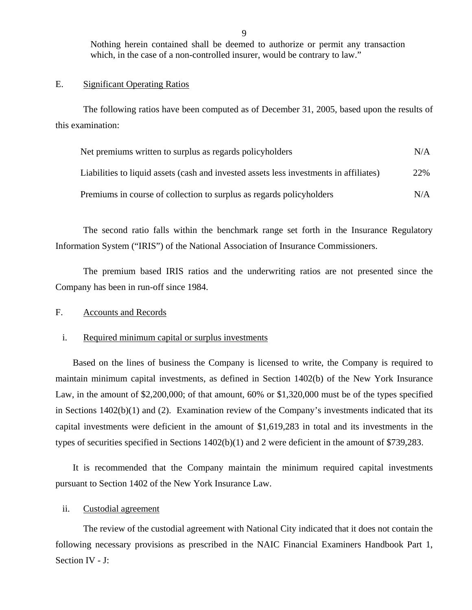Nothing herein contained shall be deemed to authorize or permit any transaction which, in the case of a non-controlled insurer, would be contrary to law."

### E. Significant Operating Ratios

The following ratios have been computed as of December 31, 2005, based upon the results of this examination:

| Net premiums written to surplus as regards policyholders                               | N/A |
|----------------------------------------------------------------------------------------|-----|
| Liabilities to liquid assets (cash and invested assets less investments in affiliates) | 22% |
| Premiums in course of collection to surplus as regards policyholders                   | N/A |

The second ratio falls within the benchmark range set forth in the Insurance Regulatory Information System ("IRIS") of the National Association of Insurance Commissioners.

The premium based IRIS ratios and the underwriting ratios are not presented since the Company has been in run-off since 1984.

### F. Accounts and Records

### i. Required minimum capital or surplus investments

Based on the lines of business the Company is licensed to write, the Company is required to maintain minimum capital investments, as defined in Section 1402(b) of the New York Insurance Law, in the amount of \$2,200,000; of that amount, 60% or \$1,320,000 must be of the types specified in Sections 1402(b)(1) and (2). Examination review of the Company's investments indicated that its capital investments were deficient in the amount of \$1,619,283 in total and its investments in the types of securities specified in Sections 1402(b)(1) and 2 were deficient in the amount of \$739,283.

It is recommended that the Company maintain the minimum required capital investments pursuant to Section 1402 of the New York Insurance Law.

### ii. Custodial agreement

The review of the custodial agreement with National City indicated that it does not contain the following necessary provisions as prescribed in the NAIC Financial Examiners Handbook Part 1, Section IV - J: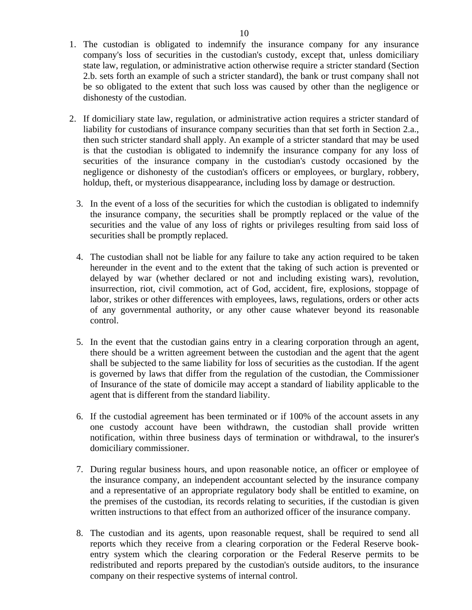- 1. The custodian is obligated to indemnify the insurance company for any insurance company's loss of securities in the custodian's custody, except that, unless domiciliary state law, regulation, or administrative action otherwise require a stricter standard (Section 2.b. sets forth an example of such a stricter standard), the bank or trust company shall not be so obligated to the extent that such loss was caused by other than the negligence or dishonesty of the custodian.
- 2. If domiciliary state law, regulation, or administrative action requires a stricter standard of liability for custodians of insurance company securities than that set forth in Section 2.a., then such stricter standard shall apply. An example of a stricter standard that may be used is that the custodian is obligated to indemnify the insurance company for any loss of securities of the insurance company in the custodian's custody occasioned by the negligence or dishonesty of the custodian's officers or employees, or burglary, robbery, holdup, theft, or mysterious disappearance, including loss by damage or destruction.
	- 3. In the event of a loss of the securities for which the custodian is obligated to indemnify the insurance company, the securities shall be promptly replaced or the value of the securities and the value of any loss of rights or privileges resulting from said loss of securities shall be promptly replaced.
	- 4. The custodian shall not be liable for any failure to take any action required to be taken hereunder in the event and to the extent that the taking of such action is prevented or delayed by war (whether declared or not and including existing wars), revolution, insurrection, riot, civil commotion, act of God, accident, fire, explosions, stoppage of labor, strikes or other differences with employees, laws, regulations, orders or other acts of any governmental authority, or any other cause whatever beyond its reasonable control.
	- 5. In the event that the custodian gains entry in a clearing corporation through an agent, there should be a written agreement between the custodian and the agent that the agent shall be subjected to the same liability for loss of securities as the custodian. If the agent is governed by laws that differ from the regulation of the custodian, the Commissioner of Insurance of the state of domicile may accept a standard of liability applicable to the agent that is different from the standard liability.
	- 6. If the custodial agreement has been terminated or if 100% of the account assets in any one custody account have been withdrawn, the custodian shall provide written notification, within three business days of termination or withdrawal, to the insurer's domiciliary commissioner.
	- 7. During regular business hours, and upon reasonable notice, an officer or employee of the insurance company, an independent accountant selected by the insurance company and a representative of an appropriate regulatory body shall be entitled to examine, on the premises of the custodian, its records relating to securities, if the custodian is given written instructions to that effect from an authorized officer of the insurance company.
	- 8. The custodian and its agents, upon reasonable request, shall be required to send all reports which they receive from a clearing corporation or the Federal Reserve bookentry system which the clearing corporation or the Federal Reserve permits to be redistributed and reports prepared by the custodian's outside auditors, to the insurance company on their respective systems of internal control.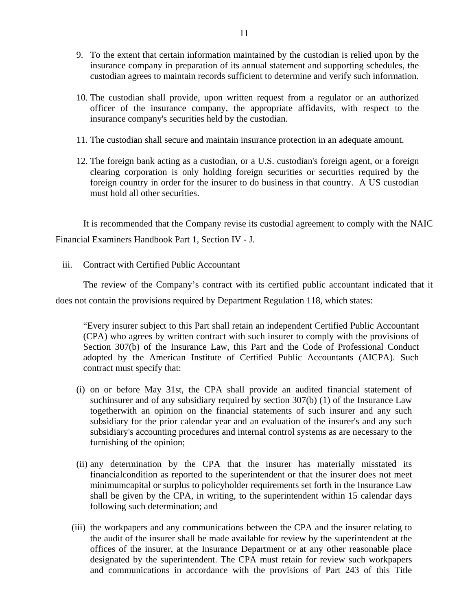- 9. To the extent that certain information maintained by the custodian is relied upon by the insurance company in preparation of its annual statement and supporting schedules, the custodian agrees to maintain records sufficient to determine and verify such information.
- 10. The custodian shall provide, upon written request from a regulator or an authorized officer of the insurance company, the appropriate affidavits, with respect to the insurance company's securities held by the custodian.
- 11. The custodian shall secure and maintain insurance protection in an adequate amount.
- 12. The foreign bank acting as a custodian, or a U.S. custodian's foreign agent, or a foreign clearing corporation is only holding foreign securities or securities required by the foreign country in order for the insurer to do business in that country. A US custodian must hold all other securities.

It is recommended that the Company revise its custodial agreement to comply with the NAIC Financial Examiners Handbook Part 1, Section IV - J.

iii. Contract with Certified Public Accountant

The review of the Company's contract with its certified public accountant indicated that it does not contain the provisions required by Department Regulation 118, which states:

"Every insurer subject to this Part shall retain an independent Certified Public Accountant (CPA) who agrees by written contract with such insurer to comply with the provisions of Section 307(b) of the Insurance Law, this Part and the Code of Professional Conduct adopted by the American Institute of Certified Public Accountants (AICPA). Such contract must specify that:

- (i) on or before May 31st, the CPA shall provide an audited financial statement of suchinsurer and of any subsidiary required by section 307(b) (1) of the Insurance Law togetherwith an opinion on the financial statements of such insurer and any such subsidiary for the prior calendar year and an evaluation of the insurer's and any such subsidiary's accounting procedures and internal control systems as are necessary to the furnishing of the opinion;
- (ii) any determination by the CPA that the insurer has materially misstated its financialcondition as reported to the superintendent or that the insurer does not meet minimumcapital or surplus to policyholder requirements set forth in the Insurance Law shall be given by the CPA, in writing, to the superintendent within 15 calendar days following such determination; and
- (iii) the workpapers and any communications between the CPA and the insurer relating to the audit of the insurer shall be made available for review by the superintendent at the offices of the insurer, at the Insurance Department or at any other reasonable place designated by the superintendent. The CPA must retain for review such workpapers and communications in accordance with the provisions of Part 243 of this Title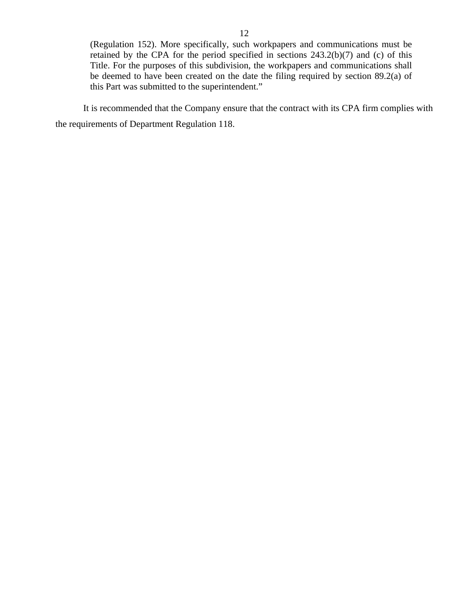(Regulation 152). More specifically, such workpapers and communications must be retained by the CPA for the period specified in sections 243.2(b)(7) and (c) of this Title. For the purposes of this subdivision, the workpapers and communications shall be deemed to have been created on the date the filing required by section 89.2(a) of this Part was submitted to the superintendent."

It is recommended that the Company ensure that the contract with its CPA firm complies with the requirements of Department Regulation 118.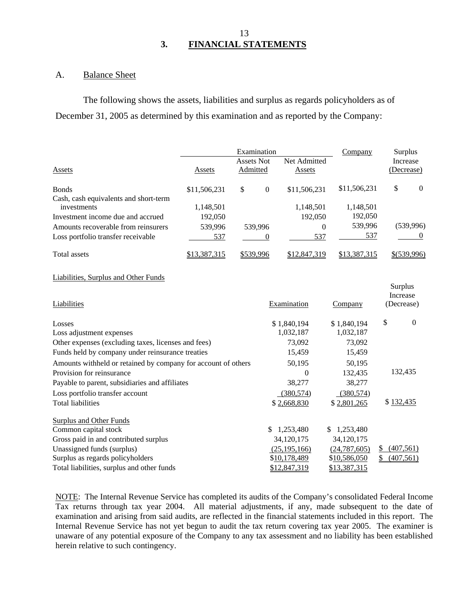## 13 **3. FINANCIAL STATEMENTS**

### A. Balance Sheet

The following shows the assets, liabilities and surplus as regards policyholders as of December 31, 2005 as determined by this examination and as reported by the Company:

|                                                      |              | Examination<br>Assets Not | Net Admitted | Company      | Surplus<br>Increase |
|------------------------------------------------------|--------------|---------------------------|--------------|--------------|---------------------|
| Assets                                               | Assets       | Admitted                  | Assets       |              | (Decrease)          |
| <b>Bonds</b>                                         | \$11,506,231 | \$<br>$\theta$            | \$11,506,231 | \$11,506,231 | \$<br>$\Omega$      |
| Cash, cash equivalents and short-term<br>investments | 1,148,501    |                           | 1,148,501    | 1,148,501    |                     |
| Investment income due and accrued                    | 192,050      |                           | 192,050      | 192,050      |                     |
| Amounts recoverable from reinsurers                  | 539,996      | 539,996                   | 0            | 539,996      | (539, 996)          |
| Loss portfolio transfer receivable                   | 537          |                           | 537          | 537          |                     |
| Total assets                                         | \$13,387,315 | \$539,996                 | \$12,847,319 | \$13,387,315 | \$(539,996)         |

### Liabilities, Surplus and Other Funds

| Liabilities                                                   | Examination    | Company         | Surplus<br>Increase<br>(Decrease) |
|---------------------------------------------------------------|----------------|-----------------|-----------------------------------|
| Losses                                                        | \$1,840,194    | \$1,840,194     | \$<br>$\theta$                    |
| Loss adjustment expenses                                      | 1,032,187      | 1,032,187       |                                   |
| Other expenses (excluding taxes, licenses and fees)           | 73,092         | 73,092          |                                   |
| Funds held by company under reinsurance treaties              | 15,459         | 15,459          |                                   |
| Amounts withheld or retained by company for account of others | 50,195         | 50,195          |                                   |
| Provision for reinsurance                                     | $\Omega$       | 132,435         | 132,435                           |
| Payable to parent, subsidiaries and affiliates                | 38,277         | 38,277          |                                   |
| Loss portfolio transfer account                               | (380, 574)     | (380, 574)      |                                   |
| <b>Total liabilities</b>                                      | \$2,668,830    | \$2,801,265     | \$132,435                         |
| Surplus and Other Funds                                       |                |                 |                                   |
| Common capital stock                                          | 1,253,480      | 1,253,480<br>S. |                                   |
| Gross paid in and contributed surplus                         | 34,120,175     | 34,120,175      |                                   |
| Unassigned funds (surplus)                                    | (25, 195, 166) | (24, 787, 605)  | (407, 561)<br>\$                  |
| Surplus as regards policyholders                              | \$10,178,489   | \$10,586,050    | (407, 561)<br>S                   |
| Total liabilities, surplus and other funds                    | \$12,847,319   | \$13,387,315    |                                   |

NOTE: The Internal Revenue Service has completed its audits of the Company's consolidated Federal Income Tax returns through tax year 2004. All material adjustments, if any, made subsequent to the date of examination and arising from said audits, are reflected in the financial statements included in this report. The Internal Revenue Service has not yet begun to audit the tax return covering tax year 2005. The examiner is unaware of any potential exposure of the Company to any tax assessment and no liability has been established herein relative to such contingency.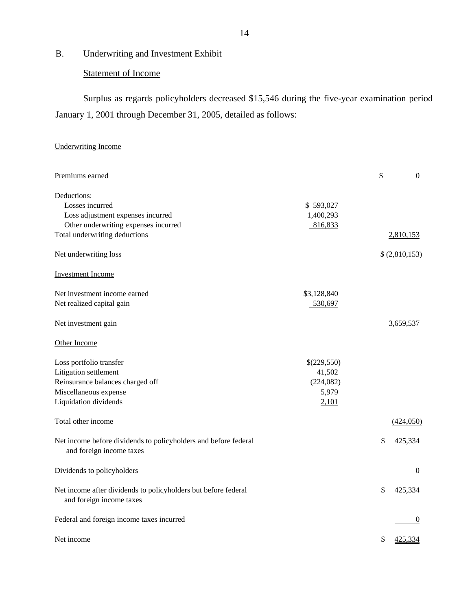# B. Underwriting and Investment Exhibit

# Statement of Income

Surplus as regards policyholders decreased \$15,546 during the five-year examination period January 1, 2001 through December 31, 2005, detailed as follows:

# Underwriting Income

| Premiums earned                                                                                                                        |                                                       | \$<br>$\boldsymbol{0}$ |
|----------------------------------------------------------------------------------------------------------------------------------------|-------------------------------------------------------|------------------------|
| Deductions:<br>Losses incurred<br>Loss adjustment expenses incurred<br>Other underwriting expenses incurred                            | \$593,027<br>1,400,293<br>816,833                     |                        |
| Total underwriting deductions                                                                                                          |                                                       | 2,810,153              |
| Net underwriting loss                                                                                                                  |                                                       | \$(2,810,153)          |
| <b>Investment Income</b>                                                                                                               |                                                       |                        |
| Net investment income earned<br>Net realized capital gain                                                                              | \$3,128,840<br>530,697                                |                        |
| Net investment gain                                                                                                                    |                                                       | 3,659,537              |
| Other Income                                                                                                                           |                                                       |                        |
| Loss portfolio transfer<br>Litigation settlement<br>Reinsurance balances charged off<br>Miscellaneous expense<br>Liquidation dividends | \$(229,550)<br>41,502<br>(224, 082)<br>5,979<br>2,101 |                        |
| Total other income                                                                                                                     |                                                       | (424,050)              |
| Net income before dividends to policyholders and before federal<br>and foreign income taxes                                            |                                                       | \$<br>425,334          |
| Dividends to policyholders                                                                                                             |                                                       | $\theta$               |
| Net income after dividends to policyholders but before federal<br>and foreign income taxes                                             |                                                       | \$<br>425,334          |
| Federal and foreign income taxes incurred                                                                                              |                                                       | $\theta$               |
| Net income                                                                                                                             |                                                       | \$<br>425,334          |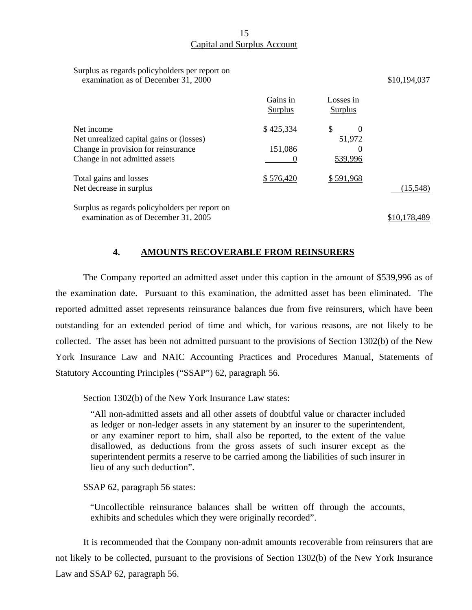# Capital and Surplus Account

| Surplus as regards policyholders per report on |  |
|------------------------------------------------|--|
| examination as of December 31, 2000            |  |

|                                                                                       | Gains in<br>Surplus | Losses in<br>Surplus     |              |
|---------------------------------------------------------------------------------------|---------------------|--------------------------|--------------|
| Net income<br>Net unrealized capital gains or (losses)                                | \$425,334           | \$<br>$\Omega$<br>51,972 |              |
| Change in provision for reinsurance<br>Change in not admitted assets                  | 151,086             | $_{0}$<br>539,996        |              |
| Total gains and losses<br>Net decrease in surplus                                     | \$576,420           | \$591,968                | (15, 548)    |
| Surplus as regards policyholders per report on<br>examination as of December 31, 2005 |                     |                          | \$10,178,489 |

\$10,194,037

### **4. AMOUNTS RECOVERABLE FROM REINSURERS**

The Company reported an admitted asset under this caption in the amount of \$539,996 as of the examination date. Pursuant to this examination, the admitted asset has been eliminated. The reported admitted asset represents reinsurance balances due from five reinsurers, which have been outstanding for an extended period of time and which, for various reasons, are not likely to be collected. The asset has been not admitted pursuant to the provisions of Section 1302(b) of the New York Insurance Law and NAIC Accounting Practices and Procedures Manual, Statements of Statutory Accounting Principles ("SSAP") 62, paragraph 56.

Section 1302(b) of the New York Insurance Law states:

"All non-admitted assets and all other assets of doubtful value or character included as ledger or non-ledger assets in any statement by an insurer to the superintendent, or any examiner report to him, shall also be reported, to the extent of the value disallowed, as deductions from the gross assets of such insurer except as the superintendent permits a reserve to be carried among the liabilities of such insurer in lieu of any such deduction".

SSAP 62, paragraph 56 states:

"Uncollectible reinsurance balances shall be written off through the accounts, exhibits and schedules which they were originally recorded".

It is recommended that the Company non-admit amounts recoverable from reinsurers that are not likely to be collected, pursuant to the provisions of Section 1302(b) of the New York Insurance Law and SSAP 62, paragraph 56.

15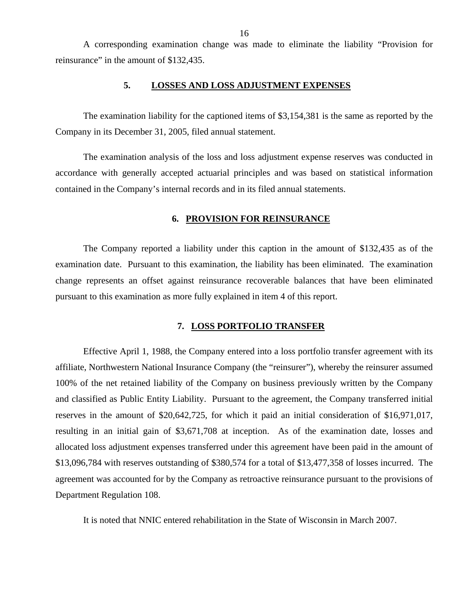<span id="page-17-0"></span>A corresponding examination change was made to eliminate the liability "Provision for reinsurance" in the amount of \$132,435.

### **5. LOSSES AND LOSS ADJUSTMENT EXPENSES**

The examination liability for the captioned items of \$3,154,381 is the same as reported by the Company in its December 31, 2005, filed annual statement.

The examination analysis of the loss and loss adjustment expense reserves was conducted in accordance with generally accepted actuarial principles and was based on statistical information contained in the Company's internal records and in its filed annual statements.

### **6. PROVISION FOR REINSURANCE**

The Company reported a liability under this caption in the amount of \$132,435 as of the examination date. Pursuant to this examination, the liability has been eliminated. The examination change represents an offset against reinsurance recoverable balances that have been eliminated pursuant to this examination as more fully explained in item 4 of this report.

# **7. LOSS PORTFOLIO TRANSFER**

Effective April 1, 1988, the Company entered into a loss portfolio transfer agreement with its affiliate, Northwestern National Insurance Company (the "reinsurer"), whereby the reinsurer assumed 100% of the net retained liability of the Company on business previously written by the Company and classified as Public Entity Liability. Pursuant to the agreement, the Company transferred initial reserves in the amount of \$20,642,725, for which it paid an initial consideration of \$16,971,017, resulting in an initial gain of \$3,671,708 at inception. As of the examination date, losses and allocated loss adjustment expenses transferred under this agreement have been paid in the amount of \$13,096,784 with reserves outstanding of \$380,574 for a total of \$13,477,358 of losses incurred. The agreement was accounted for by the Company as retroactive reinsurance pursuant to the provisions of Department Regulation 108.

It is noted that NNIC entered rehabilitation in the State of Wisconsin in March 2007.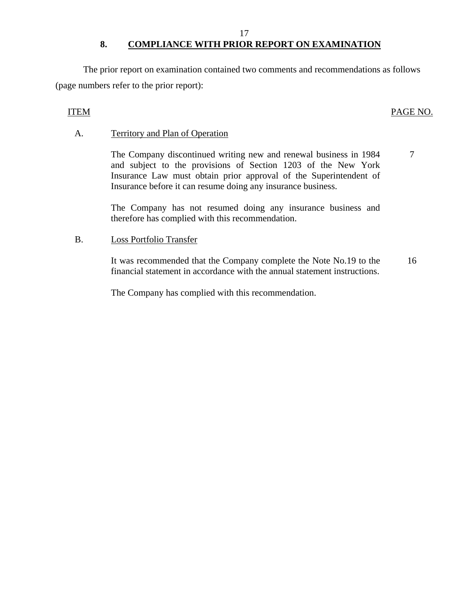### 17

# 8. COMPLIANCE WITH PRIOR REPORT ON EXAMINATION

The prior report on examination contained two comments and recommendations as follows (page numbers refer to the prior report):

# ITEM PAGE NO.

# A. Territory and Plan of Operation

The Company discontinued writing new and renewal business in 1984 and subject to the provisions of Section 1203 of the New York Insurance Law must obtain prior approval of the Superintendent of Insurance before it can resume doing any insurance business. 7

The Company has not resumed doing any insurance business and therefore has complied with this recommendation.

# B. Loss Portfolio Transfer

It was recommended that the Company complete the Note No.19 to the financial statement in accordance with the annual statement instructions. 16

The Company has complied with this recommendation.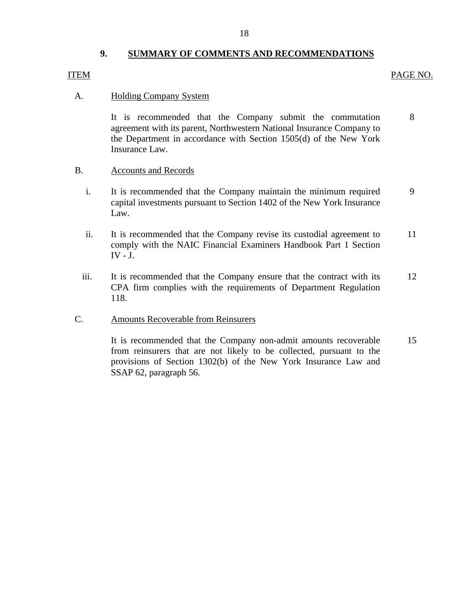# **9. SUMMARY OF COMMENTS AND RECOMMENDATIONS**

## <span id="page-19-0"></span>ITEM PAGE NO.

### A. **Holding Company System**

It is recommended that the Company submit the commutation 8 agreement with its parent, Northwestern National Insurance Company to the Department in accordance with Section 1505(d) of the New York Insurance Law.

### B. Accounts and Records

- i. It is recommended that the Company maintain the minimum required 9 capital investments pursuant to Section 1402 of the New York Insurance Law.
- ii. It is recommended that the Company revise its custodial agreement to 11 comply with the NAIC Financial Examiners Handbook Part 1 Section  $IV - J$ .
- iii. It is recommended that the Company ensure that the contract with its 12 CPA firm complies with the requirements of Department Regulation 118.

### C. Amounts Recoverable from Reinsurers

It is recommended that the Company non-admit amounts recoverable 15 from reinsurers that are not likely to be collected, pursuant to the provisions of Section 1302(b) of the New York Insurance Law and SSAP 62, paragraph 56.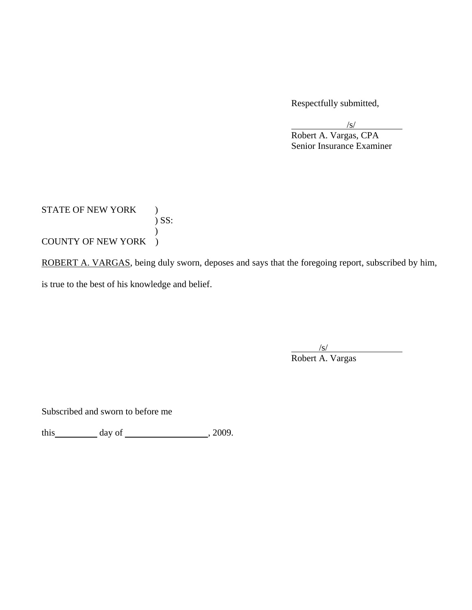Respectfully submitted,

/s/

 Robert A. Vargas, CPA Senior Insurance Examiner

STATE OF NEW YORK ) ) SS:  $\mathcal{L}$ COUNTY OF NEW YORK )

ROBERT A. VARGAS, being duly sworn, deposes and says that the foregoing report, subscribed by him, is true to the best of his knowledge and belief.

 $\sqrt{s}$ Robert A. Vargas

Subscribed and sworn to before me

this  $\qquad \qquad \text{day of} \qquad \qquad .2009.$